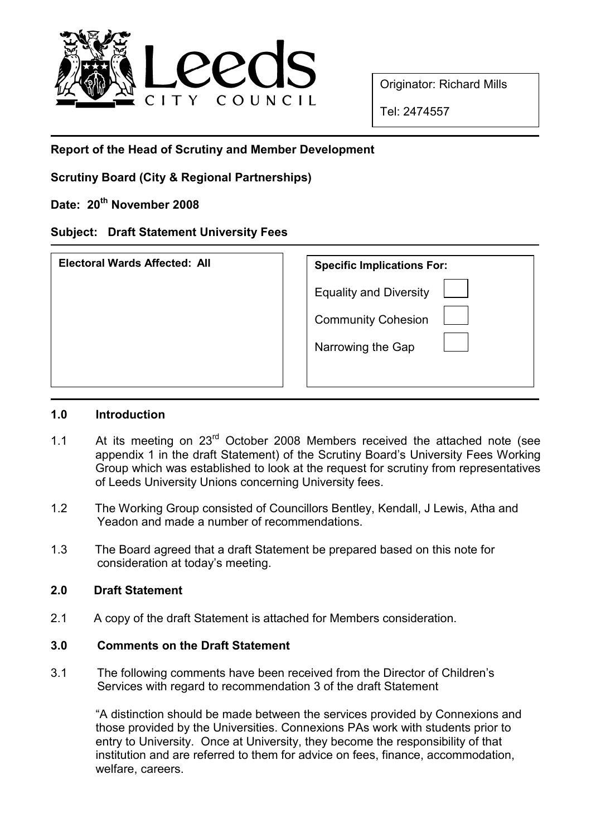

Originator: Richard Mills

Tel: 2474557

# Report of the Head of Scrutiny and Member Development

Scrutiny Board (City & Regional Partnerships)

Date: 20<sup>th</sup> November 2008

# Subject: Draft Statement University Fees

| <b>Electoral Wards Affected: All</b> | <b>Specific Implications For:</b> |
|--------------------------------------|-----------------------------------|
|                                      | <b>Equality and Diversity</b>     |
|                                      | <b>Community Cohesion</b>         |
|                                      | Narrowing the Gap                 |
|                                      |                                   |

#### 1.0 Introduction

- 1.1 At its meeting on 23<sup>rd</sup> October 2008 Members received the attached note (see appendix 1 in the draft Statement) of the Scrutiny Board's University Fees Working Group which was established to look at the request for scrutiny from representatives of Leeds University Unions concerning University fees.
- 1.2 The Working Group consisted of Councillors Bentley, Kendall, J Lewis, Atha and Yeadon and made a number of recommendations.
- 1.3 The Board agreed that a draft Statement be prepared based on this note for consideration at today's meeting.

## 2.0 Draft Statement

2.1 A copy of the draft Statement is attached for Members consideration.

## 3.0 Comments on the Draft Statement

3.1 The following comments have been received from the Director of Children's Services with regard to recommendation 3 of the draft Statement

"A distinction should be made between the services provided by Connexions and those provided by the Universities. Connexions PAs work with students prior to entry to University. Once at University, they become the responsibility of that institution and are referred to them for advice on fees, finance, accommodation, welfare, careers.